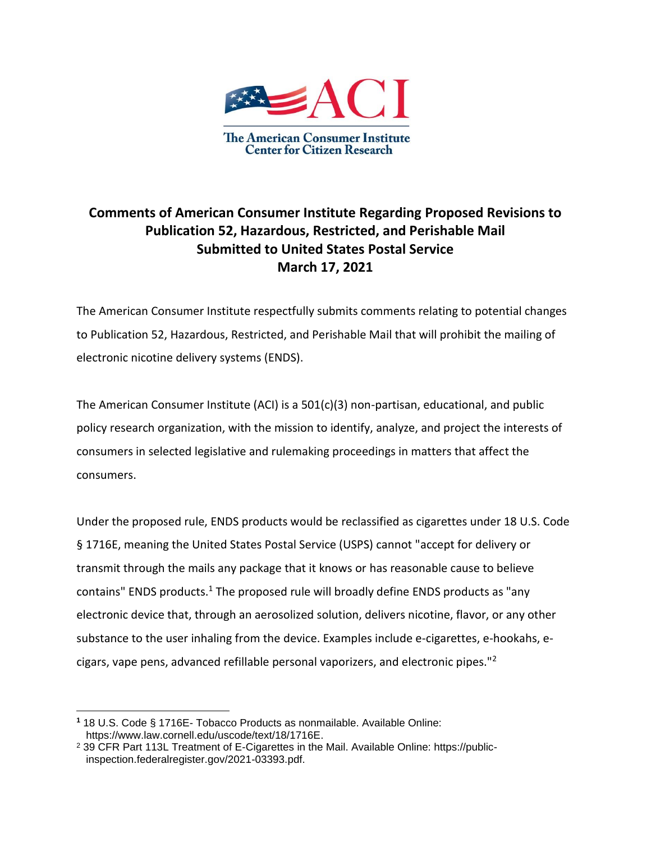

## **Comments of American Consumer Institute Regarding Proposed Revisions to Publication 52, Hazardous, Restricted, and Perishable Mail Submitted to United States Postal Service March 17, 2021**

The American Consumer Institute respectfully submits comments relating to potential changes to Publication 52, Hazardous, Restricted, and Perishable Mail that will prohibit the mailing of electronic nicotine delivery systems (ENDS).

The American Consumer Institute (ACI) is a 501(c)(3) non-partisan, educational, and public policy research organization, with the mission to identify, analyze, and project the interests of consumers in selected legislative and rulemaking proceedings in matters that affect the consumers.

Under the proposed rule, ENDS products would be reclassified as cigarettes under 18 U.S. Code § 1716E, meaning the United States Postal Service (USPS) cannot "accept for delivery or transmit through the mails any package that it knows or has reasonable cause to believe contains" ENDS products.<sup>1</sup> The proposed rule will broadly define ENDS products as "any electronic device that, through an aerosolized solution, delivers nicotine, flavor, or any other substance to the user inhaling from the device. Examples include e-cigarettes, e-hookahs, ecigars, vape pens, advanced refillable personal vaporizers, and electronic pipes."<sup>2</sup>

**<sup>1</sup>** 18 U.S. Code § 1716E- Tobacco Products as nonmailable. Available Online: https://www.law.cornell.edu/uscode/text/18/1716E.

<sup>2</sup> 39 CFR Part 113L Treatment of E-Cigarettes in the Mail. Available Online: https://publicinspection.federalregister.gov/2021-03393.pdf.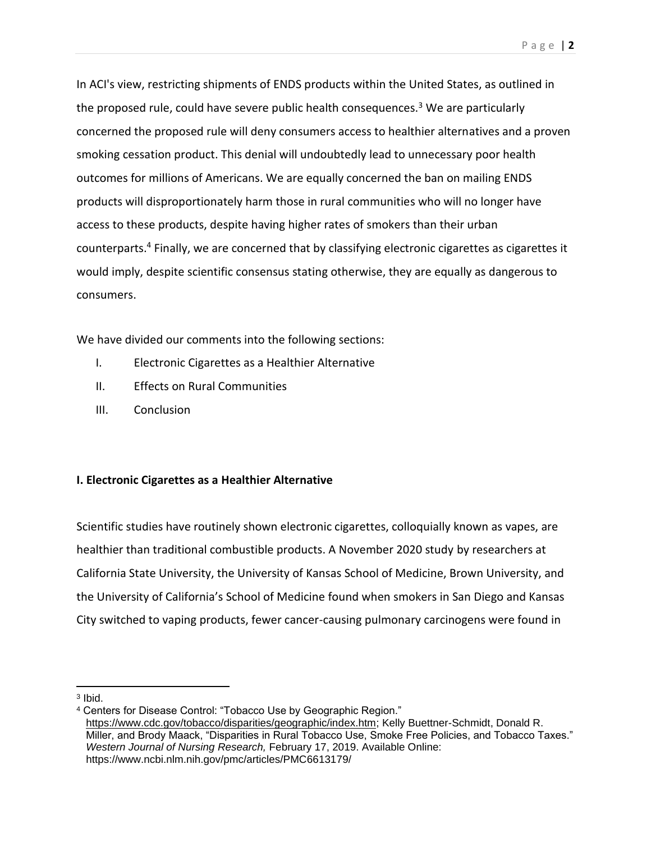In ACI's view, restricting shipments of ENDS products within the United States, as outlined in the proposed rule, could have severe public health consequences.<sup>3</sup> We are particularly concerned the proposed rule will deny consumers access to healthier alternatives and a proven smoking cessation product. This denial will undoubtedly lead to unnecessary poor health outcomes for millions of Americans. We are equally concerned the ban on mailing ENDS products will disproportionately harm those in rural communities who will no longer have access to these products, despite having higher rates of smokers than their urban counterparts.<sup>4</sup> Finally, we are concerned that by classifying electronic cigarettes as cigarettes it would imply, despite scientific consensus stating otherwise, they are equally as dangerous to consumers.

We have divided our comments into the following sections:

- I. Electronic Cigarettes as a Healthier Alternative
- II. Effects on Rural Communities
- III. Conclusion

## **I. Electronic Cigarettes as a Healthier Alternative**

Scientific studies have routinely shown electronic cigarettes, colloquially known as vapes, are healthier than traditional combustible products. A November 2020 study by researchers at California State University, the University of Kansas School of Medicine, Brown University, and the University of California's School of Medicine found when smokers in San Diego and Kansas City switched to vaping products, fewer cancer-causing pulmonary carcinogens were found in

<sup>3</sup> Ibid.

<sup>4</sup> Centers for Disease Control: "Tobacco Use by Geographic Region." [https://www.cdc.gov/tobacco/disparities/geographic/index.htm;](https://www.cdc.gov/tobacco/disparities/geographic/index.htm) Kelly Buettner-Schmidt, Donald R. Miller, and Brody Maack, "Disparities in Rural Tobacco Use, Smoke Free Policies, and Tobacco Taxes." *Western Journal of Nursing Research,* February 17, 2019. Available Online: https://www.ncbi.nlm.nih.gov/pmc/articles/PMC6613179/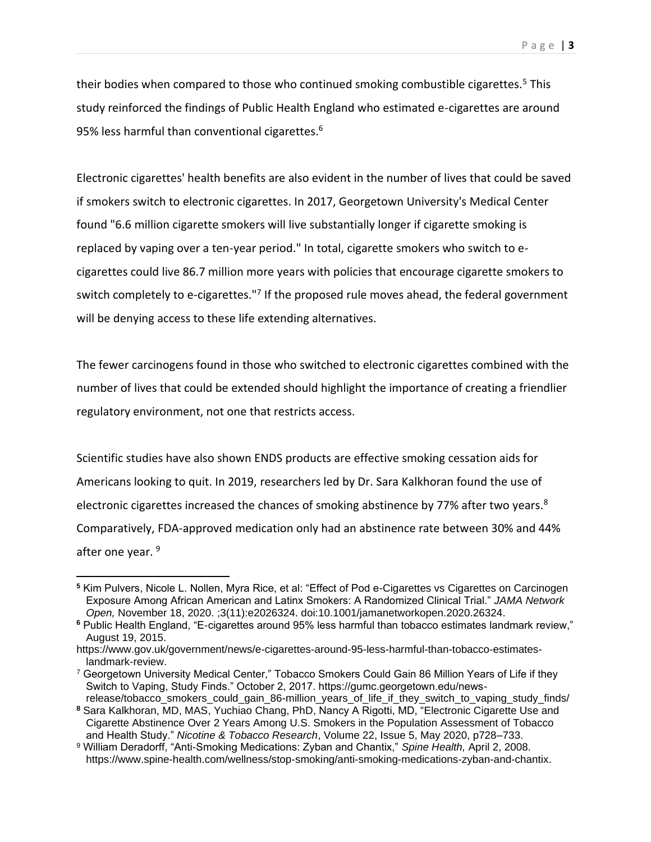their bodies when compared to those who continued smoking combustible cigarettes.<sup>5</sup> This study reinforced the findings of Public Health England who estimated e-cigarettes are around 95% less harmful than conventional cigarettes.<sup>6</sup>

Electronic cigarettes' health benefits are also evident in the number of lives that could be saved if smokers switch to electronic cigarettes. In 2017, Georgetown University's Medical Center found "6.6 million cigarette smokers will live substantially longer if cigarette smoking is replaced by vaping over a ten-year period." In total, cigarette smokers who switch to ecigarettes could live 86.7 million more years with policies that encourage cigarette smokers to switch completely to e-cigarettes."<sup>7</sup> If the proposed rule moves ahead, the federal government will be denying access to these life extending alternatives.

The fewer carcinogens found in those who switched to electronic cigarettes combined with the number of lives that could be extended should highlight the importance of creating a friendlier regulatory environment, not one that restricts access.

Scientific studies have also shown ENDS products are effective smoking cessation aids for Americans looking to quit. In 2019, researchers led by Dr. Sara Kalkhoran found the use of electronic cigarettes increased the chances of smoking abstinence by 77% after two years.<sup>8</sup> Comparatively, FDA-approved medication only had an abstinence rate between 30% and 44% after one year. 9

**<sup>5</sup>** Kim Pulvers, Nicole L. Nollen, Myra Rice, et al: "Effect of Pod e-Cigarettes vs Cigarettes on Carcinogen Exposure Among African American and Latinx Smokers: A Randomized Clinical Trial." *JAMA Network Open,* November 18, 2020. ;3(11):e2026324. doi:10.1001/jamanetworkopen.2020.26324.

**<sup>6</sup>** Public Health England, "E-cigarettes around 95% less harmful than tobacco estimates landmark review," August 19, 2015.

https://www.gov.uk/government/news/e-cigarettes-around-95-less-harmful-than-tobacco-estimateslandmark-review.

<sup>&</sup>lt;sup>7</sup> Georgetown University Medical Center," Tobacco Smokers Could Gain 86 Million Years of Life if they Switch to Vaping, Study Finds." October 2, 2017. https://gumc.georgetown.edu/newsrelease/tobacco\_smokers\_could\_gain\_86-million\_years\_of\_life\_if\_they\_switch\_to\_vaping\_study\_finds/

**<sup>8</sup>** Sara Kalkhoran, MD, MAS, Yuchiao Chang, PhD, Nancy A Rigotti, MD, "Electronic Cigarette Use and Cigarette Abstinence Over 2 Years Among U.S. Smokers in the Population Assessment of Tobacco and Health Study." *Nicotine & Tobacco Research*, Volume 22, Issue 5, May 2020, p728–733.

<sup>9</sup> William Deradorff, "Anti-Smoking Medications: Zyban and Chantix," *Spine Health,* April 2, 2008. https://www.spine-health.com/wellness/stop-smoking/anti-smoking-medications-zyban-and-chantix.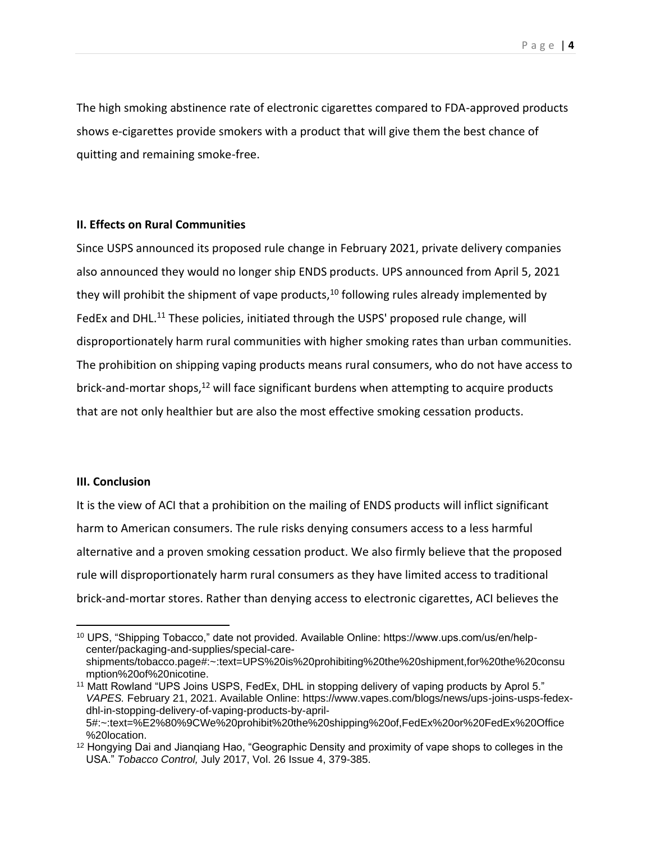The high smoking abstinence rate of electronic cigarettes compared to FDA-approved products shows e-cigarettes provide smokers with a product that will give them the best chance of quitting and remaining smoke-free.

## **II. Effects on Rural Communities**

Since USPS announced its proposed rule change in February 2021, private delivery companies also announced they would no longer ship ENDS products. UPS announced from April 5, 2021 they will prohibit the shipment of vape products,  $10$  following rules already implemented by FedEx and DHL.<sup>11</sup> These policies, initiated through the USPS' proposed rule change, will disproportionately harm rural communities with higher smoking rates than urban communities. The prohibition on shipping vaping products means rural consumers, who do not have access to brick-and-mortar shops, $12$  will face significant burdens when attempting to acquire products that are not only healthier but are also the most effective smoking cessation products.

## **III. Conclusion**

It is the view of ACI that a prohibition on the mailing of ENDS products will inflict significant harm to American consumers. The rule risks denying consumers access to a less harmful alternative and a proven smoking cessation product. We also firmly believe that the proposed rule will disproportionately harm rural consumers as they have limited access to traditional brick-and-mortar stores. Rather than denying access to electronic cigarettes, ACI believes the

<sup>10</sup> UPS, "Shipping Tobacco," date not provided. Available Online: https://www.ups.com/us/en/helpcenter/packaging-and-supplies/special-careshipments/tobacco.page#:~:text=UPS%20is%20prohibiting%20the%20shipment,for%20the%20consu mption%20of%20nicotine.

<sup>11</sup> Matt Rowland "UPS Joins USPS, FedEx, DHL in stopping delivery of vaping products by Aprol 5." *VAPES.* February 21, 2021. Available Online: https://www.vapes.com/blogs/news/ups-joins-usps-fedexdhl-in-stopping-delivery-of-vaping-products-by-april-5#:~:text=%E2%80%9CWe%20prohibit%20the%20shipping%20of,FedEx%20or%20FedEx%20Office %20location.

<sup>12</sup> Hongying Dai and Jianqiang Hao, "Geographic Density and proximity of vape shops to colleges in the USA." *Tobacco Control,* July 2017, Vol. 26 Issue 4, 379-385.